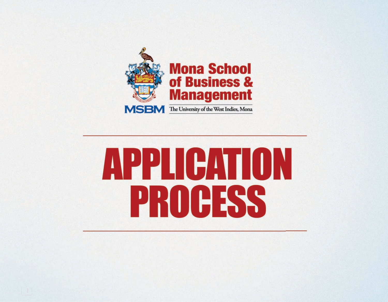

# **APPLICATION PROCESS**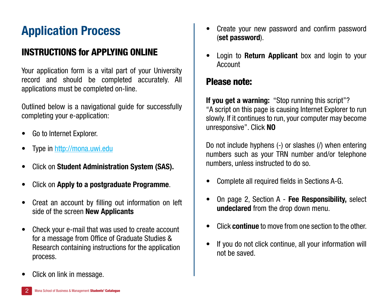# **Application Process**

## INSTRUCTIONS for APPLYING ONLINE

Your application form is a vital part of your University record and should be completed accurately. All applications must be completed on-line.

Outlined below is a navigational guide for successfully completing your e-application:

- Go to Internet Explorer.
- Type in http://mona.uwi.edu
- • Click on **Student Administration System (SAS).**
- • Click on **Apply to a postgraduate Programme**.
- Creat an account by filling out information on left side of the screen **New Applicants**
- Check your e-mail that was used to create account for a message from Office of Graduate Studies & Research containing instructions for the application process.
- Create your new password and confirm password (**set password**).
- **Login to Return Applicant** box and login to your Account

### Please note:

**If you get a warning:** "Stop running this script"? "A script on this page is causing Internet Explorer to run slowly. If it continues to run, your computer may become unresponsive". Click **NO**

Do not include hyphens (-) or slashes (/) when entering numbers such as your TRN number and/or telephone numbers, unless instructed to do so.

- Complete all required fields in Sections A-G.
- • On page 2, Section A **Fee Responsibility,** select **undeclared** from the drop down menu.
- Click **continue** to move from one section to the other.
- If you do not click continue, all your information will not be saved.

Click on link in message.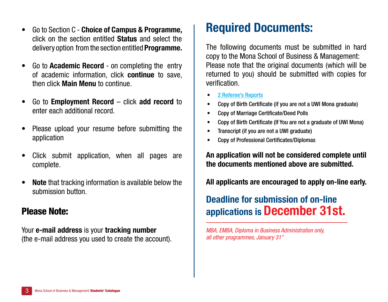- • Go to Section C **Choice of Campus & Programme,**  click on the section entitled **Status** and select the delivery option from the section entitled **Programme.**
- • Go to **Academic Record** on completing the entry of academic information, click **continue** to save, then click **Main Menu** to continue.
- • Go to **Employment Record** click **add record** to enter each additional record.
- Please upload your resume before submitting the application
- Click submit application, when all pages are complete.
- **• Note** that tracking information is available below the submission button.

#### Please Note:

Your **e-mail address** is your **tracking number** (the e-mail address you used to create the account).

# **Required Documents:**

The following documents must be submitted in hard copy to the Mona School of Business & Management: Please note that the original documents (which will be returned to you) should be submitted with copies for verification.

- 2 Referee's Reports
- Copy of Birth Certificate (if you are not a UWI Mona graduate)
- Copy of Marriage Certificate/Deed Polls
- Copy of Birth Certificate (If You are not a graduate of UWI Mona)
- Transcript (if you are not a UWI graduate)
- Copy of Professional Certificates/Diplomas

**An application will not be considered complete until the documents mentioned above are submitted.**

**All applicants are encouraged to apply on-line early.** 

## **Deadline for submission of on-line applications is December 31st.**

*MBA, EMBA, Diploma in Business Administration only, all other programmes, January 31"*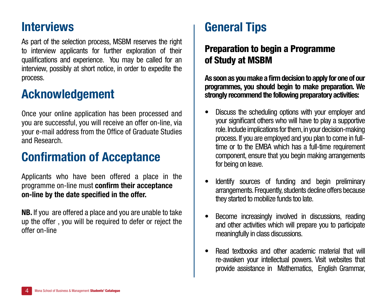## **Interviews**

As part of the selection process, MSBM reserves the right to interview applicants for further exploration of their qualifications and experience. You may be called for an interview, possibly at short notice, in order to expedite the process.

## **Acknowledgement**

Once your online application has been processed and you are successful, you will receive an offer on-line, via your e-mail address from the Office of Graduate Studies and Research.

# **Confirmation of Acceptance**

Applicants who have been offered a place in the programme on-line must **confirm their acceptance on-line by the date specified in the offer.**

**NB.** If you are offered a place and you are unable to take up the offer , you will be required to defer or reject the offer on-line

# **General Tips**

## Preparation to begin a Programme of Study at MSBM

**As soon as you make a firm decision to apply for one of our programmes, you should begin to make preparation. We strongly recommend the following preparatory activities:**

- Discuss the scheduling options with your employer and your significant others who will have to play a supportive role. Include implications for them, in your decision-making process. If you are employed and you plan to come in fulltime or to the EMBA which has a full-time requirement component, ensure that you begin making arrangements for being on leave.
- Identify sources of funding and begin preliminary arrangements. Frequently, students decline offers because they started to mobilize funds too late.
- Become increasingly involved in discussions, reading and other activities which will prepare you to participate meaningfully in class discussions.
- Read textbooks and other academic material that will re-awaken your intellectual powers. Visit websites that provide assistance in Mathematics, English Grammar,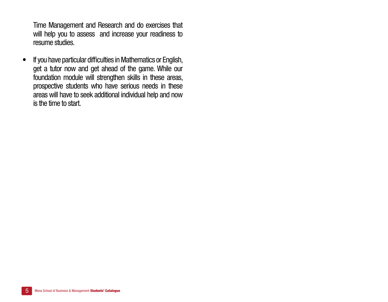Time Management and Research and do exercises that will help you to assess and increase your readiness to resume studies.

• If you have particular difficulties in Mathematics or English, get a tutor now and get ahead of the game. While our foundation module will strengthen skills in these areas, prospective students who have serious needs in these areas will have to seek additional individual help and now is the time to start.